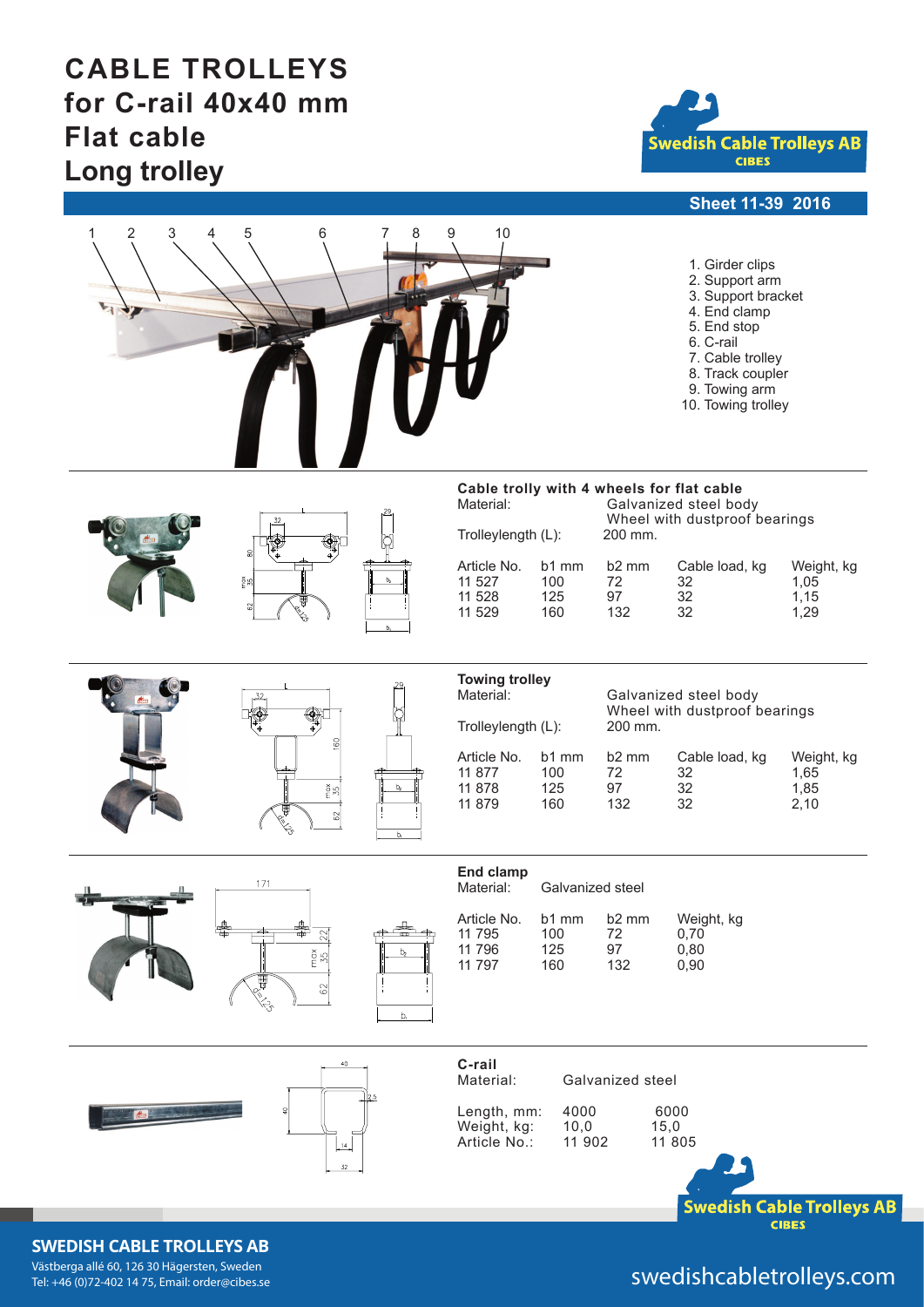# **CABLE TROLLEYS for C-rail 40x40 mm Flat cable Long trolley**



### **Sheet 11-39 2016**

| 2<br>3<br>1 | 5<br>6<br>8                                                                              | 9<br>10<br>1. Girder clips<br>2. Support arm<br>3. Support bracket<br>4. End clamp<br>5. End stop<br>6. C-rail<br>7. Cable trolley<br>8. Track coupler<br>9. Towing arm<br>10. Towing trolley                                                                                                                                                  |
|-------------|------------------------------------------------------------------------------------------|------------------------------------------------------------------------------------------------------------------------------------------------------------------------------------------------------------------------------------------------------------------------------------------------------------------------------------------------|
|             | 32<br>٦<br>۰<br>8<br>$\frac{8}{35}$<br>$\boldsymbol{\delta}$                             | Cable trolly with 4 wheels for flat cable<br>Material:<br>Galvanized steel body<br>Wheel with dustproof bearings<br>200 mm.<br>Trolleylength (L):<br>Article No.<br>b1 mm<br>b <sub>2</sub> mm<br>Cable load, kg<br>Weight, kg<br>11 527<br>72<br>32<br>100<br>1,05<br>32<br>11 528<br>97<br>1,15<br>125<br>11 529<br>160<br>132<br>32<br>1,29 |
|             | .32.<br>ð<br>Ç<br>160<br>$\frac{8}{5}$ 8<br>62                                           | <b>Towing trolley</b><br>Material:<br>Galvanized steel body<br>Wheel with dustproof bearings<br>200 mm.<br>Trolleylength (L):<br>Article No.<br>b <sub>2</sub> mm<br>Cable load, kg<br>b1 mm<br>Weight, kg<br>11 877<br>100<br>72<br>32<br>1,65<br>11 878<br>32<br>1,85<br>125<br>97<br>132<br>11 879<br>160<br>32<br>2,10                     |
|             | 171<br>22<br>$rac{35}{5}$<br>b <sub>2</sub><br>₩<br>$\mbox{S}$<br>ફ્રુ<br>b <sub>i</sub> | End clamp<br>Material:<br>Galvanized steel<br>b2 mm<br>Article No.<br>b1 mm<br>Weight, kg<br>11 795<br>100<br>72<br>0,70<br>11 796<br>97<br>125<br>0,80<br>11 797<br>132<br>160<br>0,90                                                                                                                                                        |
|             | 40<br>$\frac{14}{2}$<br>$32\,$                                                           | C-rail<br>Galvanized steel<br>Material:<br>4000<br>6000<br>Length, mm:<br>Weight, kg:<br>10,0<br>15,0<br>Article No.:<br>11 902<br>11 805<br><b>Swedish Cable Trolleys AB</b><br>CIDEC                                                                                                                                                         |

### **SWEDISH CABLE TROLLEYS AB**

Västberga allé 60, 126 30 Hägersten, Sweden<br>Tel: +46 (0)72-402 14 75, Email: order@cibes.se

## swedishcabletrolleys.com